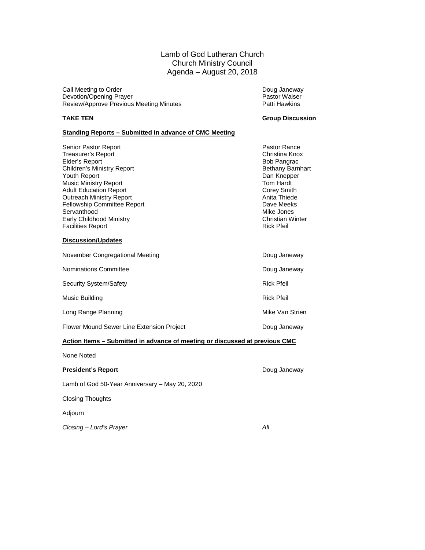Lamb of God Lutheran Church Church Ministry Council Agenda – August 20, 2018

Call Meeting to Order Call Meeting to Order Call Meeting to Order Call Meeting Doug Janeway<br>
Devotion/Opening Prayer Call Discussion of Devotion Assembly Devotion/Opening Prayer Devotion/Opening Prayer **Devotion/Opening Prayer Accord Pastor Waiser Review/Approve Previous Meeting Minutes** Patti Hawkins Review/Approve Previous Meeting Minutes

#### **TAKE TEN Group Discussion**

#### **Standing Reports – Submitted in advance of CMC Meeting**

| Senior Pastor Report               | Pastor Ra         |
|------------------------------------|-------------------|
| Treasurer's Report                 | Christina         |
| Elder's Report                     | <b>Bob Pand</b>   |
| <b>Children's Ministry Report</b>  | Bethany I         |
| Youth Report                       | Dan Knep          |
| <b>Music Ministry Report</b>       | Tom Hard          |
| <b>Adult Education Report</b>      | Corey Sn          |
| <b>Outreach Ministry Report</b>    | Anita Thie        |
| <b>Fellowship Committee Report</b> | Dave Me           |
| Servanthood                        | Mike Jon          |
| Early Childhood Ministry           | Christian         |
| <b>Facilities Report</b>           | <b>Rick Pfeil</b> |
|                                    |                   |

#### **Discussion/Updates**

| November Congregational Meeting           | Doug Janeway      |
|-------------------------------------------|-------------------|
| Nominations Committee                     | Doug Janeway      |
| Security System/Safety                    | <b>Rick Pfeil</b> |
| Music Building                            | <b>Rick Pfeil</b> |
| Long Range Planning                       | Mike Van Strien   |
| Flower Mound Sewer Line Extension Project | Doug Janeway      |
|                                           |                   |

#### **Action Items – Submitted in advance of meeting or discussed at previous CMC**

None Noted

#### **President's Report Doug Janeway**

Lamb of God 50-Year Anniversary – May 20, 2020

Closing Thoughts

Adjourn

*Closing – Lord's Prayer* All

Pastor Rance Christina Knox Bob Pangrac Bethany Barnhart Dan Knepper Tom Hardt **Corey Smith** Anita Thiede Dave Meeks Mike Jones Christian Winter<br>Rick Pfeil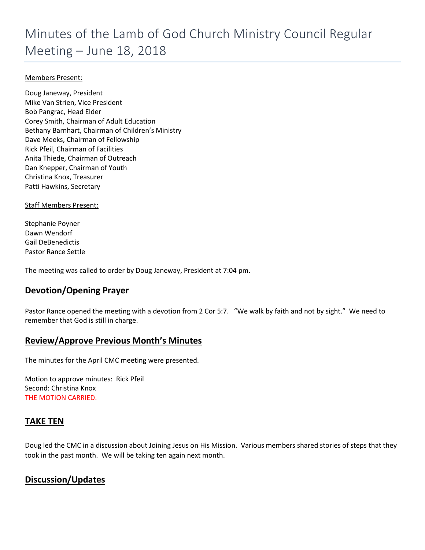# Minutes of the Lamb of God Church Ministry Council Regular Meeting – June 18, 2018

#### Members Present:

Doug Janeway, President Mike Van Strien, Vice President Bob Pangrac, Head Elder Corey Smith, Chairman of Adult Education Bethany Barnhart, Chairman of Children's Ministry Dave Meeks, Chairman of Fellowship Rick Pfeil, Chairman of Facilities Anita Thiede, Chairman of Outreach Dan Knepper, Chairman of Youth Christina Knox, Treasurer Patti Hawkins, Secretary

Staff Members Present:

Stephanie Poyner Dawn Wendorf Gail DeBenedictis Pastor Rance Settle

The meeting was called to order by Doug Janeway, President at 7:04 pm.

### **Devotion/Opening Prayer**

Pastor Rance opened the meeting with a devotion from 2 Cor 5:7. "We walk by faith and not by sight." We need to remember that God is still in charge.

### **Review/Approve Previous Month's Minutes**

The minutes for the April CMC meeting were presented.

Motion to approve minutes: Rick Pfeil Second: Christina Knox THE MOTION CARRIED.

### **TAKE TEN**

Doug led the CMC in a discussion about Joining Jesus on His Mission. Various members shared stories of steps that they took in the past month. We will be taking ten again next month.

## **Discussion/Updates**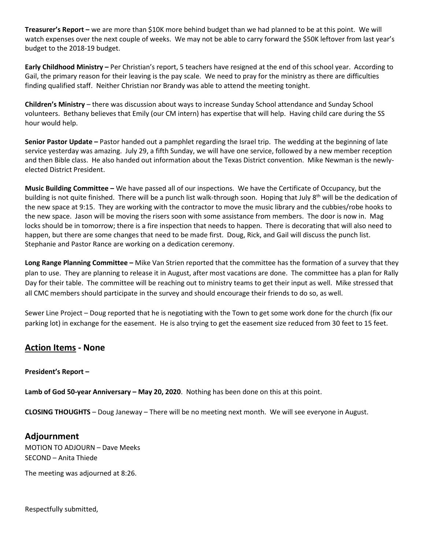**Treasurer's Report –** we are more than \$10K more behind budget than we had planned to be at this point. We will watch expenses over the next couple of weeks. We may not be able to carry forward the \$50K leftover from last year's budget to the 2018-19 budget.

**Early Childhood Ministry –** Per Christian's report, 5 teachers have resigned at the end of this school year. According to Gail, the primary reason for their leaving is the pay scale. We need to pray for the ministry as there are difficulties finding qualified staff. Neither Christian nor Brandy was able to attend the meeting tonight.

**Children's Ministry** – there was discussion about ways to increase Sunday School attendance and Sunday School volunteers. Bethany believes that Emily (our CM intern) has expertise that will help. Having child care during the SS hour would help.

**Senior Pastor Update –** Pastor handed out a pamphlet regarding the Israel trip. The wedding at the beginning of late service yesterday was amazing. July 29, a fifth Sunday, we will have one service, followed by a new member reception and then Bible class. He also handed out information about the Texas District convention. Mike Newman is the newlyelected District President.

**Music Building Committee –** We have passed all of our inspections. We have the Certificate of Occupancy, but the building is not quite finished. There will be a punch list walk-through soon. Hoping that July  $8^{th}$  will be the dedication of the new space at 9:15. They are working with the contractor to move the music library and the cubbies/robe hooks to the new space. Jason will be moving the risers soon with some assistance from members. The door is now in. Mag locks should be in tomorrow; there is a fire inspection that needs to happen. There is decorating that will also need to happen, but there are some changes that need to be made first. Doug, Rick, and Gail will discuss the punch list. Stephanie and Pastor Rance are working on a dedication ceremony.

**Long Range Planning Committee –** Mike Van Strien reported that the committee has the formation of a survey that they plan to use. They are planning to release it in August, after most vacations are done. The committee has a plan for Rally Day for their table. The committee will be reaching out to ministry teams to get their input as well. Mike stressed that all CMC members should participate in the survey and should encourage their friends to do so, as well.

Sewer Line Project – Doug reported that he is negotiating with the Town to get some work done for the church (fix our parking lot) in exchange for the easement. He is also trying to get the easement size reduced from 30 feet to 15 feet.

## **Action Items - None**

#### **President's Report –**

**Lamb of God 50-year Anniversary – May 20, 2020**. Nothing has been done on this at this point.

**CLOSING THOUGHTS** – Doug Janeway – There will be no meeting next month. We will see everyone in August.

#### **Adjournment**

MOTION TO ADJOURN – Dave Meeks SECOND – Anita Thiede

The meeting was adjourned at 8:26.

Respectfully submitted,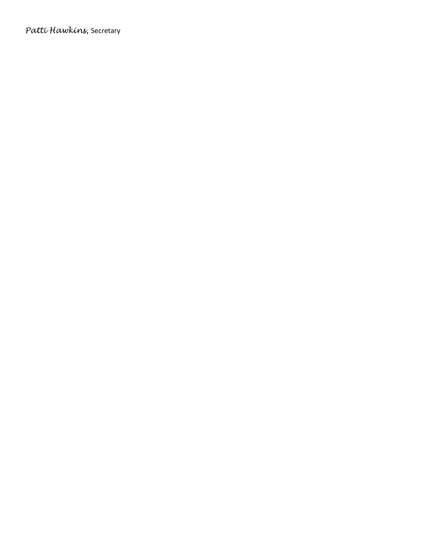*Patti Hawkins,* Secretary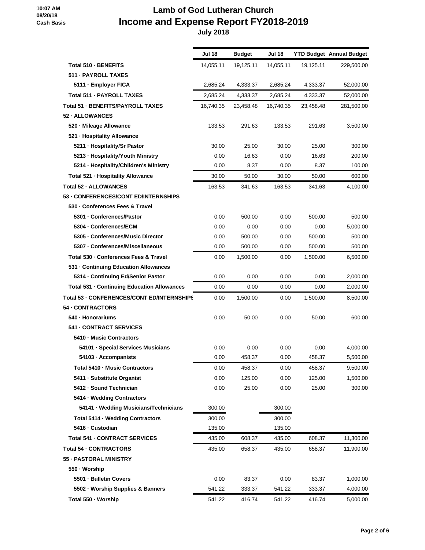# **Lamb of God Lutheran Church Income and Expense Report FY2018-2019**

|                                                   | Jul 18    | <b>Budget</b> | Jul 18    |           | <b>YTD Budget Annual Budget</b> |
|---------------------------------------------------|-----------|---------------|-----------|-----------|---------------------------------|
| Total 510 - BENEFITS                              | 14,055.11 | 19,125.11     | 14,055.11 | 19,125.11 | 229,500.00                      |
| 511 - PAYROLL TAXES                               |           |               |           |           |                                 |
| 5111 - Employer FICA                              | 2,685.24  | 4,333.37      | 2,685.24  | 4,333.37  | 52,000.00                       |
| Total 511 - PAYROLL TAXES                         | 2,685.24  | 4,333.37      | 2,685.24  | 4,333.37  | 52,000.00                       |
| Total 51 - BENEFITS/PAYROLL TAXES                 | 16,740.35 | 23,458.48     | 16,740.35 | 23,458.48 | 281,500.00                      |
| 52 - ALLOWANCES                                   |           |               |           |           |                                 |
| 520 - Mileage Allowance                           | 133.53    | 291.63        | 133.53    | 291.63    | 3,500.00                        |
| 521 - Hospitality Allowance                       |           |               |           |           |                                 |
| 5211 - Hospitality/Sr Pastor                      | 30.00     | 25.00         | 30.00     | 25.00     | 300.00                          |
| 5213 - Hospitality/Youth Ministry                 | 0.00      | 16.63         | 0.00      | 16.63     | 200.00                          |
| 5214 - Hospitality/Children's Ministry            | 0.00      | 8.37          | 0.00      | 8.37      | 100.00                          |
| Total 521 - Hospitality Allowance                 | 30.00     | 50.00         | 30.00     | 50.00     | 600.00                          |
| Total 52 - ALLOWANCES                             | 163.53    | 341.63        | 163.53    | 341.63    | 4,100.00                        |
| 53 - CONFERENCES/CONT ED/INTERNSHIPS              |           |               |           |           |                                 |
| 530 - Conferences Fees & Travel                   |           |               |           |           |                                 |
| 5301 - Conferences/Pastor                         | 0.00      | 500.00        | 0.00      | 500.00    | 500.00                          |
| 5304 - Conferences/ECM                            | 0.00      | 0.00          | 0.00      | 0.00      | 5,000.00                        |
| 5305 - Conferences/Music Director                 | 0.00      | 500.00        | 0.00      | 500.00    | 500.00                          |
| 5307 - Conferences/Miscellaneous                  | 0.00      | 500.00        | 0.00      | 500.00    | 500.00                          |
| Total 530 - Conferences Fees & Travel             | 0.00      | 1,500.00      | 0.00      | 1,500.00  | 6,500.00                        |
| 531 - Continuing Education Allowances             |           |               |           |           |                                 |
| 5314 - Continuing Ed/Senior Pastor                | 0.00      | 0.00          | 0.00      | 0.00      | 2,000.00                        |
| Total 531 - Continuing Education Allowances       | 0.00      | 0.00          | 0.00      | 0.00      | 2,000.00                        |
| <b>Total 53 - CONFERENCES/CONT ED/INTERNSHIPS</b> | 0.00      | 1,500.00      | 0.00      | 1,500.00  | 8,500.00                        |
| 54 - CONTRACTORS                                  |           |               |           |           |                                 |
| 540 · Honorariums                                 | 0.00      | 50.00         | 0.00      | 50.00     | 600.00                          |
| <b>541 - CONTRACT SERVICES</b>                    |           |               |           |           |                                 |
| 5410 - Music Contractors                          |           |               |           |           |                                 |
| 54101 · Special Services Musicians                | 0.00      | 0.00          | 0.00      | 0.00      | 4,000.00                        |
| 54103 · Accompanists                              | 0.00      | 458.37        | 0.00      | 458.37    | 5,500.00                        |
| Total 5410 - Music Contractors                    | 0.00      | 458.37        | 0.00      | 458.37    | 9,500.00                        |
| 5411 - Substitute Organist                        | 0.00      | 125.00        | 0.00      | 125.00    | 1,500.00                        |
| 5412 - Sound Technician                           | 0.00      | 25.00         | 0.00      | 25.00     | 300.00                          |
| 5414 - Wedding Contractors                        |           |               |           |           |                                 |
| 54141 · Wedding Musicians/Technicians             | 300.00    |               | 300.00    |           |                                 |
| Total 5414 - Wedding Contractors                  | 300.00    |               | 300.00    |           |                                 |
| 5416 - Custodian                                  | 135.00    |               | 135.00    |           |                                 |
| <b>Total 541 - CONTRACT SERVICES</b>              | 435.00    | 608.37        | 435.00    | 608.37    | 11,300.00                       |
| <b>Total 54 - CONTRACTORS</b>                     | 435.00    | 658.37        | 435.00    | 658.37    | 11,900.00                       |
| 55 - PASTORAL MINISTRY                            |           |               |           |           |                                 |
| 550 · Worship                                     |           |               |           |           |                                 |
| 5501 - Bulletin Covers                            | 0.00      | 83.37         | 0.00      | 83.37     | 1,000.00                        |
| 5502 · Worship Supplies & Banners                 | 541.22    | 333.37        | 541.22    | 333.37    | 4,000.00                        |
| Total 550 - Worship                               | 541.22    | 416.74        | 541.22    | 416.74    | 5,000.00                        |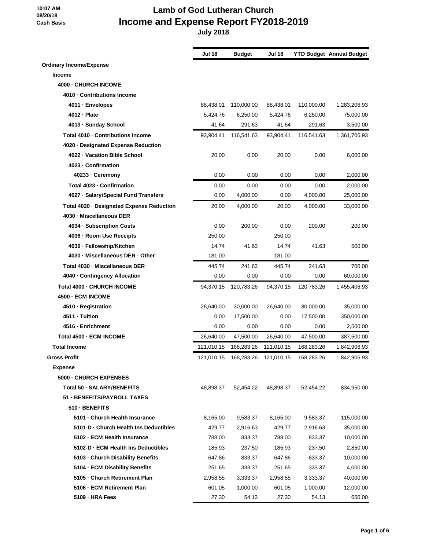# **Lamb of God Lutheran Church Income and Expense Report FY2018-2019**

|                                           | <b>Jul 18</b> | <b>Budget</b>                      | <b>Jul 18</b> |            | <b>YTD Budget Annual Budget</b> |
|-------------------------------------------|---------------|------------------------------------|---------------|------------|---------------------------------|
| <b>Ordinary Income/Expense</b>            |               |                                    |               |            |                                 |
| <b>Income</b>                             |               |                                    |               |            |                                 |
| 4000 - CHURCH INCOME                      |               |                                    |               |            |                                 |
| 4010 - Contributions Income               |               |                                    |               |            |                                 |
| 4011 · Envelopes                          | 88,438.01     | 110,000.00                         | 88,438.01     | 110,000.00 | 1,283,206.93                    |
| 4012 - Plate                              | 5,424.76      | 6,250.00                           | 5,424.76      | 6,250.00   | 75,000.00                       |
| 4013 - Sunday School                      | 41.64         | 291.63                             | 41.64         | 291.63     | 3,500.00                        |
| Total 4010 - Contributions Income         | 93,904.41     | 116.541.63                         | 93,904.41     | 116,541.63 | 1,361,706.93                    |
| 4020 Designated Expense Reduction         |               |                                    |               |            |                                 |
| 4022 - Vacation Bible School              | 20.00         | 0.00                               | 20.00         | 0.00       | 6,000.00                        |
| 4023 - Confirmation                       |               |                                    |               |            |                                 |
| 40233 · Ceremony                          | 0.00          | 0.00                               | 0.00          | 0.00       | 2,000.00                        |
| Total 4023 - Confirmation                 | 0.00          | 0.00                               | 0.00          | 0.00       | 2,000.00                        |
| 4027 - Salary/Special Fund Transfers      | 0.00          | 4,000.00                           | 0.00          | 4,000.00   | 25,000.00                       |
| Total 4020 - Designated Expense Reduction | 20.00         | 4,000.00                           | 20.00         | 4,000.00   | 33,000.00                       |
| 4030 - Miscellaneous DER                  |               |                                    |               |            |                                 |
| 4034 - Subscription Costs                 | 0.00          | 200.00                             | 0.00          | 200.00     | 200.00                          |
| 4036 - Room Use Receipts                  | 250.00        |                                    | 250.00        |            |                                 |
| 4039 - Fellowship/Kitchen                 | 14.74         | 41.63                              | 14.74         | 41.63      | 500.00                          |
| 4030 - Miscellaneous DER - Other          | 181.00        |                                    | 181.00        |            |                                 |
| Total 4030 - Miscellaneous DER            | 445.74        | 241.63                             | 445.74        | 241.63     | 700.00                          |
| 4040 Contingency Allocation               | 0.00          | 0.00                               | 0.00          | 0.00       | 60,000.00                       |
| <b>Total 4000 - CHURCH INCOME</b>         | 94,370.15     | 120,783.26                         | 94,370.15     | 120,783.26 | 1,455,406.93                    |
| 4500 - ECM INCOME                         |               |                                    |               |            |                                 |
| 4510 - Registration                       | 26,640.00     | 30,000.00                          | 26,640.00     | 30,000.00  | 35,000.00                       |
| 4511 - Tuition                            | 0.00          | 17,500.00                          | 0.00          | 17,500.00  | 350,000.00                      |
| 4516 - Enrichment                         | 0.00          | 0.00                               | 0.00          | 0.00       | 2,500.00                        |
| Total 4500 - ECM INCOME                   | 26,640.00     | 47,500.00                          | 26,640.00     | 47,500.00  | 387,500.00                      |
| <b>Total Income</b>                       | 121,010.15    | 168,283.26                         | 121,010.15    | 168,283.26 | 1,842,906.93                    |
| <b>Gross Profit</b>                       |               | 121,010.15  168,283.26  121,010.15 |               | 168,283.26 | 1,842,906.93                    |
| <b>Expense</b>                            |               |                                    |               |            |                                 |
| 5000 - CHURCH EXPENSES                    |               |                                    |               |            |                                 |
| Total 50 - SALARY/BENEFITS                | 48,898.37     | 52,454.22                          | 48,898.37     | 52,454.22  | 834,950.00                      |
| 51 - BENEFITS/PAYROLL TAXES               |               |                                    |               |            |                                 |
| 510 - BENEFITS                            |               |                                    |               |            |                                 |
| 5101 - Church Health Insurance            | 8,165.00      | 9,583.37                           | 8,165.00      | 9,583.37   | 115,000.00                      |
| 5101-D - Church Health Ins Deductibles    | 429.77        | 2,916.63                           | 429.77        | 2,916.63   | 35,000.00                       |
| 5102 - ECM Health Insurance               | 788.00        | 833.37                             | 788.00        | 833.37     | 10,000.00                       |
| 5102-D - ECM Health Ins Deductibles       | 185.93        | 237.50                             | 185.93        | 237.50     | 2,850.00                        |
| 5103 - Church Disability Benefits         | 647.86        | 833.37                             | 647.86        | 833.37     | 10,000.00                       |
| 5104 - ECM Disability Benefits            | 251.65        | 333.37                             | 251.65        | 333.37     | 4,000.00                        |
| 5105 - Church Retirement Plan             | 2,958.55      | 3,333.37                           | 2,958.55      | 3,333.37   | 40,000.00                       |
| 5106 - ECM Retirement Plan                | 601.05        | 1,000.00                           | 601.05        | 1,000.00   | 12,000.00                       |
| 5109 - HRA Fees                           | 27.30         | 54.13                              | 27.30         | 54.13      | 650.00                          |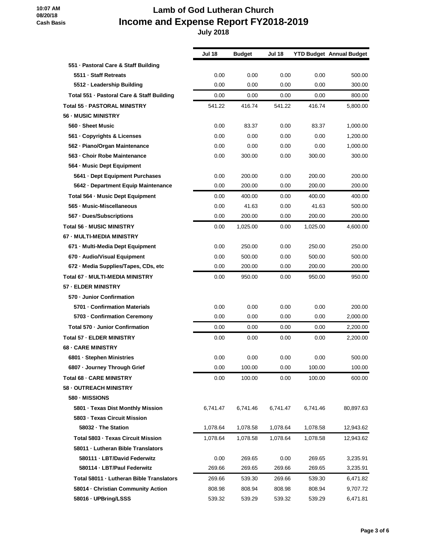# **Lamb of God Lutheran Church Income and Expense Report FY2018-2019**

|                                            | Jul 18   | <b>Budget</b> | <b>Jul 18</b> |          | <b>YTD Budget Annual Budget</b> |
|--------------------------------------------|----------|---------------|---------------|----------|---------------------------------|
| 551 - Pastoral Care & Staff Building       |          |               |               |          |                                 |
| 5511 · Staff Retreats                      | 0.00     | 0.00          | 0.00          | 0.00     | 500.00                          |
| 5512 - Leadership Building                 | 0.00     | 0.00          | 0.00          | 0.00     | 300.00                          |
| Total 551 - Pastoral Care & Staff Building | 0.00     | 0.00          | 0.00          | 0.00     | 800.00                          |
| <b>Total 55 - PASTORAL MINISTRY</b>        | 541.22   | 416.74        | 541.22        | 416.74   | 5,800.00                        |
| 56 - MUSIC MINISTRY                        |          |               |               |          |                                 |
| 560 - Sheet Music                          | 0.00     | 83.37         | 0.00          | 83.37    | 1,000.00                        |
| 561 - Copyrights & Licenses                | 0.00     | 0.00          | 0.00          | 0.00     | 1,200.00                        |
| 562 - Piano/Organ Maintenance              | 0.00     | 0.00          | 0.00          | 0.00     | 1,000.00                        |
| 563 - Choir Robe Maintenance               | 0.00     | 300.00        | 0.00          | 300.00   | 300.00                          |
| 564 - Music Dept Equipment                 |          |               |               |          |                                 |
| 5641 Dept Equipment Purchases              | 0.00     | 200.00        | 0.00          | 200.00   | 200.00                          |
| 5642 - Department Equip Maintenance        | 0.00     | 200.00        | 0.00          | 200.00   | 200.00                          |
| Total 564 - Music Dept Equipment           | 0.00     | 400.00        | 0.00          | 400.00   | 400.00                          |
| 565 - Music-Miscellaneous                  | 0.00     | 41.63         | 0.00          | 41.63    | 500.00                          |
| 567 - Dues/Subscriptions                   | 0.00     | 200.00        | 0.00          | 200.00   | 200.00                          |
| <b>Total 56 - MUSIC MINISTRY</b>           | 0.00     | 1,025.00      | 0.00          | 1,025.00 | 4,600.00                        |
| 67 - MULTI-MEDIA MINISTRY                  |          |               |               |          |                                 |
| 671 - Multi-Media Dept Equipment           | 0.00     | 250.00        | 0.00          | 250.00   | 250.00                          |
| 670 - Audio/Visual Equipment               | 0.00     | 500.00        | 0.00          | 500.00   | 500.00                          |
| 672 - Media Supplies/Tapes, CDs, etc       | 0.00     | 200.00        | 0.00          | 200.00   | 200.00                          |
| <b>Total 67 - MULTI-MEDIA MINISTRY</b>     | 0.00     | 950.00        | 0.00          | 950.00   | 950.00                          |
| 57 - ELDER MINISTRY                        |          |               |               |          |                                 |
| 570 - Junior Confirmation                  |          |               |               |          |                                 |
| 5701 - Confirmation Materials              | 0.00     | 0.00          | 0.00          | 0.00     | 200.00                          |
| 5703 - Confirmation Ceremony               | 0.00     | 0.00          | 0.00          | 0.00     | 2,000.00                        |
| Total 570 - Junior Confirmation            | 0.00     | 0.00          | 0.00          | 0.00     | 2,200.00                        |
| Total 57 - ELDER MINISTRY                  | 0.00     | 0.00          | 0.00          | 0.00     | 2.200.00                        |
| <b>68 - CARE MINISTRY</b>                  |          |               |               |          |                                 |
| 6801 - Stephen Ministries                  | 0.00     | 0.00          | 0.00          | 0.00     | 500.00                          |
| 6807 · Journey Through Grief               | 0.00     | 100.00        | 0.00          | 100.00   | 100.00                          |
| <b>Total 68 - CARE MINISTRY</b>            | 0.00     | 100.00        | 0.00          | 100.00   | 600.00                          |
| 58 - OUTREACH MINISTRY                     |          |               |               |          |                                 |
| 580 - MISSIONS                             |          |               |               |          |                                 |
| 5801 - Texas Dist Monthly Mission          | 6,741.47 | 6,741.46      | 6,741.47      | 6,741.46 | 80,897.63                       |
| 5803 - Texas Circuit Mission               |          |               |               |          |                                 |
| 58032 - The Station                        | 1,078.64 | 1,078.58      | 1,078.64      | 1,078.58 | 12,943.62                       |
| Total 5803 - Texas Circuit Mission         | 1,078.64 | 1,078.58      | 1,078.64      | 1,078.58 | 12,943.62                       |
| 58011 - Lutheran Bible Translators         |          |               |               |          |                                 |
| 580111 - LBT/David Federwitz               | 0.00     | 269.65        | 0.00          | 269.65   | 3,235.91                        |
| 580114 - LBT/Paul Federwitz                | 269.66   | 269.65        | 269.66        | 269.65   | 3,235.91                        |
| Total 58011 - Lutheran Bible Translators   | 269.66   | 539.30        | 269.66        | 539.30   | 6,471.82                        |
| 58014 - Christian Community Action         | 808.98   | 808.94        | 808.98        | 808.94   | 9,707.72                        |
| 58016 - UPBring/LSSS                       | 539.32   | 539.29        | 539.32        | 539.29   | 6,471.81                        |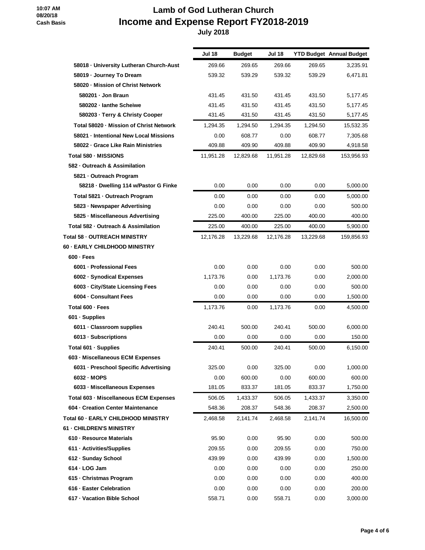# **Lamb of God Lutheran Church Income and Expense Report FY2018-2019**

|                                         | <b>Jul 18</b> | <b>Budget</b> | Jul 18    |           | <b>YTD Budget Annual Budget</b> |
|-----------------------------------------|---------------|---------------|-----------|-----------|---------------------------------|
| 58018 - University Lutheran Church-Aust | 269.66        | 269.65        | 269.66    | 269.65    | 3,235.91                        |
| 58019 · Journey To Dream                | 539.32        | 539.29        | 539.32    | 539.29    | 6,471.81                        |
| 58020 - Mission of Christ Network       |               |               |           |           |                                 |
| 580201 - Jon Braun                      | 431.45        | 431.50        | 431.45    | 431.50    | 5,177.45                        |
| 580202 - lanthe Scheiwe                 | 431.45        | 431.50        | 431.45    | 431.50    | 5,177.45                        |
| 580203 · Terry & Christy Cooper         | 431.45        | 431.50        | 431.45    | 431.50    | 5,177.45                        |
| Total 58020 - Mission of Christ Network | 1.294.35      | 1,294.50      | 1,294.35  | 1,294.50  | 15,532.35                       |
| 58021 - Intentional New Local Missions  | 0.00          | 608.77        | 0.00      | 608.77    | 7,305.68                        |
| 58022 Grace Like Rain Ministries        | 409.88        | 409.90        | 409.88    | 409.90    | 4,918.58                        |
| Total 580 - MISSIONS                    | 11,951.28     | 12,829.68     | 11,951.28 | 12,829.68 | 153,956.93                      |
| 582 - Outreach & Assimilation           |               |               |           |           |                                 |
| 5821 - Outreach Program                 |               |               |           |           |                                 |
| 58218 · Dwelling 114 w/Pastor G Finke   | 0.00          | 0.00          | 0.00      | 0.00      | 5,000.00                        |
| Total 5821 - Outreach Program           | 0.00          | 0.00          | 0.00      | 0.00      | 5,000.00                        |
| 5823 - Newspaper Advertising            | 0.00          | 0.00          | 0.00      | 0.00      | 500.00                          |
| 5825 - Miscellaneous Advertising        | 225.00        | 400.00        | 225.00    | 400.00    | 400.00                          |
| Total 582 - Outreach & Assimilation     | 225.00        | 400.00        | 225.00    | 400.00    | 5,900.00                        |
| <b>Total 58 - OUTREACH MINISTRY</b>     | 12,176.28     | 13,229.68     | 12,176.28 | 13,229.68 | 159,856.93                      |
| 60 - EARLY CHILDHOOD MINISTRY           |               |               |           |           |                                 |
| $600 - Fees$                            |               |               |           |           |                                 |
| 6001 - Professional Fees                | 0.00          | 0.00          | 0.00      | 0.00      | 500.00                          |
| 6002 · Synodical Expenses               | 1,173.76      | 0.00          | 1,173.76  | 0.00      | 2,000.00                        |
| 6003 - City/State Licensing Fees        | 0.00          | 0.00          | 0.00      | 0.00      | 500.00                          |
| 6004 - Consultant Fees                  | 0.00          | 0.00          | 0.00      | 0.00      | 1,500.00                        |
| Total 600 - Fees                        | 1,173.76      | 0.00          | 1,173.76  | 0.00      | 4,500.00                        |
| 601 - Supplies                          |               |               |           |           |                                 |
| 6011 - Classroom supplies               | 240.41        | 500.00        | 240.41    | 500.00    | 6,000.00                        |
| 6013 - Subscriptions                    | 0.00          | 0.00          | 0.00      | 0.00      | 150.00                          |
| Total 601 - Supplies                    | 240.41        | 500.00        | 240.41    | 500.00    | 6,150.00                        |
| 603 - Miscellaneous ECM Expenses        |               |               |           |           |                                 |
| 6031 - Preschool Specific Advertising   | 325.00        | 0.00          | 325.00    | 0.00      | 1,000.00                        |
| 6032 - MOPS                             | 0.00          | 600.00        | 0.00      | 600.00    | 600.00                          |
| 6033 - Miscellaneous Expenses           | 181.05        | 833.37        | 181.05    | 833.37    | 1,750.00                        |
| Total 603 - Miscellaneous ECM Expenses  | 506.05        | 1,433.37      | 506.05    | 1,433.37  | 3,350.00                        |
| 604 - Creation Center Maintenance       | 548.36        | 208.37        | 548.36    | 208.37    | 2,500.00                        |
| Total 60 - EARLY CHILDHOOD MINISTRY     | 2,468.58      | 2,141.74      | 2,468.58  | 2,141.74  | 16,500.00                       |
| <b>61 - CHILDREN'S MINISTRY</b>         |               |               |           |           |                                 |
| 610 - Resource Materials                | 95.90         | 0.00          | 95.90     | 0.00      | 500.00                          |
| 611 - Activities/Supplies               | 209.55        | 0.00          | 209.55    | 0.00      | 750.00                          |
| 612 - Sunday School                     | 439.99        | 0.00          | 439.99    | 0.00      | 1,500.00                        |
| 614 - LOG Jam                           | 0.00          | 0.00          | 0.00      | 0.00      | 250.00                          |
| 615 - Christmas Program                 | 0.00          | 0.00          | 0.00      | 0.00      | 400.00                          |
| 616 - Easter Celebration                | 0.00          | 0.00          | 0.00      | 0.00      | 200.00                          |
| 617 - Vacation Bible School             | 558.71        | 0.00          | 558.71    | 0.00      | 3,000.00                        |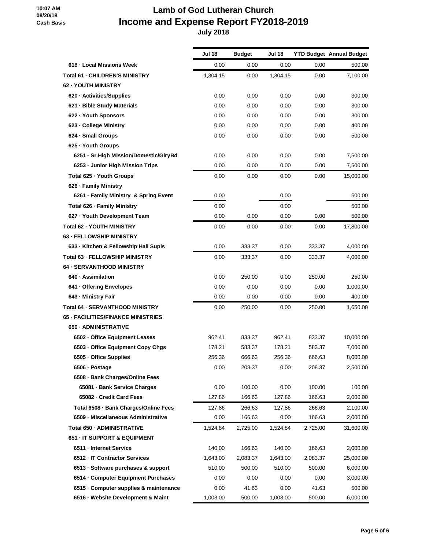# **Lamb of God Lutheran Church Income and Expense Report FY2018-2019**

|                                           | <b>Jul 18</b> | <b>Budget</b> | Jul 18   |          | <b>YTD Budget Annual Budget</b> |
|-------------------------------------------|---------------|---------------|----------|----------|---------------------------------|
| 618 - Local Missions Week                 | 0.00          | 0.00          | 0.00     | 0.00     | 500.00                          |
| <b>Total 61 - CHILDREN'S MINISTRY</b>     | 1,304.15      | 0.00          | 1,304.15 | 0.00     | 7,100.00                        |
| <b>62 - YOUTH MINISTRY</b>                |               |               |          |          |                                 |
| 620 - Activities/Supplies                 | 0.00          | 0.00          | 0.00     | 0.00     | 300.00                          |
| 621 - Bible Study Materials               | 0.00          | 0.00          | 0.00     | 0.00     | 300.00                          |
| 622 - Youth Sponsors                      | 0.00          | 0.00          | 0.00     | 0.00     | 300.00                          |
| 623 - College Ministry                    | 0.00          | 0.00          | 0.00     | 0.00     | 400.00                          |
| 624 - Small Groups                        | 0.00          | 0.00          | 0.00     | 0.00     | 500.00                          |
| 625 - Youth Groups                        |               |               |          |          |                                 |
| 6251 - Sr High Mission/Domestic/GlryBd    | 0.00          | 0.00          | 0.00     | 0.00     | 7,500.00                        |
| 6253 - Junior High Mission Trips          | 0.00          | 0.00          | 0.00     | 0.00     | 7,500.00                        |
| Total 625 - Youth Groups                  | 0.00          | 0.00          | 0.00     | 0.00     | 15,000.00                       |
| 626 - Family Ministry                     |               |               |          |          |                                 |
| 6261 - Family Ministry & Spring Event     | 0.00          |               | 0.00     |          | 500.00                          |
| Total 626 - Family Ministry               | 0.00          |               | 0.00     |          | 500.00                          |
| 627 - Youth Development Team              | 0.00          | 0.00          | 0.00     | 0.00     | 500.00                          |
| <b>Total 62 - YOUTH MINISTRY</b>          | 0.00          | 0.00          | 0.00     | 0.00     | 17,800.00                       |
| <b>63 - FELLOWSHIP MINISTRY</b>           |               |               |          |          |                                 |
| 633 - Kitchen & Fellowship Hall Supls     | 0.00          | 333.37        | 0.00     | 333.37   | 4,000.00                        |
| <b>Total 63 - FELLOWSHIP MINISTRY</b>     | 0.00          | 333.37        | 0.00     | 333.37   | 4,000.00                        |
| <b>64 - SERVANTHOOD MINISTRY</b>          |               |               |          |          |                                 |
| 640 · Assimilation                        | 0.00          | 250.00        | 0.00     | 250.00   | 250.00                          |
| 641 - Offering Envelopes                  | 0.00          | 0.00          | 0.00     | 0.00     | 1,000.00                        |
| 643 - Ministry Fair                       | 0.00          | 0.00          | 0.00     | 0.00     | 400.00                          |
| Total 64 - SERVANTHOOD MINISTRY           | 0.00          | 250.00        | 0.00     | 250.00   | 1,650.00                        |
| <b>65 - FACILITIES/FINANCE MINISTRIES</b> |               |               |          |          |                                 |
| 650 - ADMINISTRATIVE                      |               |               |          |          |                                 |
| 6502 - Office Equipment Leases            | 962.41        | 833.37        | 962.41   | 833.37   | 10,000.00                       |
| 6503 Office Equipment Copy Chgs           | 178.21        | 583.37        | 178.21   | 583.37   | 7,000.00                        |
| 6505 · Office Supplies                    | 256.36        | 666.63        | 256.36   | 666.63   | 8,000.00                        |
| 6506 · Postage                            | 0.00          | 208.37        | 0.00     | 208.37   | 2,500.00                        |
| 6508 - Bank Charges/Online Fees           |               |               |          |          |                                 |
| 65081 Bank Service Charges                | 0.00          | 100.00        | 0.00     | 100.00   | 100.00                          |
| 65082 - Credit Card Fees                  | 127.86        | 166.63        | 127.86   | 166.63   | 2,000.00                        |
| Total 6508 - Bank Charges/Online Fees     | 127.86        | 266.63        | 127.86   | 266.63   | 2,100.00                        |
| 6509 - Miscellaneous Administrative       | 0.00          | 166.63        | 0.00     | 166.63   | 2,000.00                        |
| Total 650 - ADMINISTRATIVE                | 1,524.84      | 2,725.00      | 1,524.84 | 2,725.00 | 31,600.00                       |
| 651 - IT SUPPORT & EQUIPMENT              |               |               |          |          |                                 |
| 6511 - Internet Service                   | 140.00        | 166.63        | 140.00   | 166.63   | 2,000.00                        |
| 6512 - IT Contractor Services             | 1,643.00      | 2,083.37      | 1,643.00 | 2,083.37 | 25,000.00                       |
| 6513 - Software purchases & support       | 510.00        | 500.00        | 510.00   | 500.00   | 6,000.00                        |
| 6514 - Computer Equipment Purchases       | 0.00          | 0.00          | 0.00     | 0.00     | 3,000.00                        |
| 6515 - Computer supplies & maintenance    | 0.00          | 41.63         | 0.00     | 41.63    | 500.00                          |
| 6516 - Website Development & Maint        | 1,003.00      | 500.00        | 1,003.00 | 500.00   | 6,000.00                        |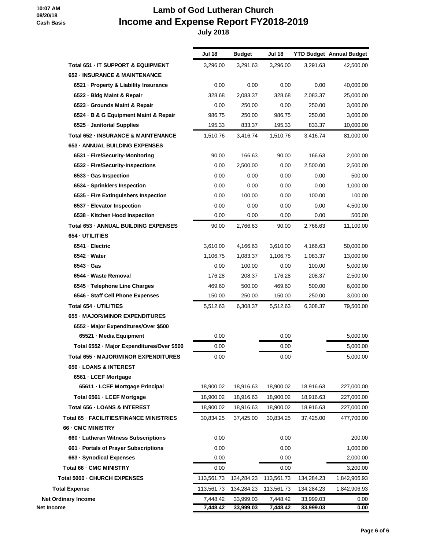# **Lamb of God Lutheran Church Income and Expense Report FY2018-2019**

|                                                | <b>Jul 18</b> | <b>Budget</b> | <b>Jul 18</b> |            | <b>YTD Budget Annual Budget</b> |
|------------------------------------------------|---------------|---------------|---------------|------------|---------------------------------|
| Total 651 - IT SUPPORT & EQUIPMENT             | 3,296.00      | 3,291.63      | 3,296.00      | 3,291.63   | 42,500.00                       |
| <b>652 - INSURANCE &amp; MAINTENANCE</b>       |               |               |               |            |                                 |
| 6521 · Property & Liability Insurance          | 0.00          | 0.00          | 0.00          | 0.00       | 40,000.00                       |
| 6522 - Bldg Maint & Repair                     | 328.68        | 2,083.37      | 328.68        | 2,083.37   | 25,000.00                       |
| 6523 - Grounds Maint & Repair                  | 0.00          | 250.00        | 0.00          | 250.00     | 3,000.00                        |
| 6524 · B & G Equipment Maint & Repair          | 986.75        | 250.00        | 986.75        | 250.00     | 3,000.00                        |
| 6525 - Janitorial Supplies                     | 195.33        | 833.37        | 195.33        | 833.37     | 10,000.00                       |
| <b>Total 652 - INSURANCE &amp; MAINTENANCE</b> | 1,510.76      | 3,416.74      | 1,510.76      | 3,416.74   | 81,000.00                       |
| <b>653 - ANNUAL BUILDING EXPENSES</b>          |               |               |               |            |                                 |
| 6531 - Fire/Security-Monitoring                | 90.00         | 166.63        | 90.00         | 166.63     | 2,000.00                        |
| 6532 · Fire/Security-Inspections               | 0.00          | 2,500.00      | 0.00          | 2,500.00   | 2,500.00                        |
| 6533 - Gas Inspection                          | 0.00          | 0.00          | 0.00          | 0.00       | 500.00                          |
| 6534 · Sprinklers Inspection                   | 0.00          | 0.00          | 0.00          | 0.00       | 1,000.00                        |
| 6535 - Fire Extinguishers Inspection           | 0.00          | 100.00        | 0.00          | 100.00     | 100.00                          |
| 6537 - Elevator Inspection                     | 0.00          | 0.00          | 0.00          | 0.00       | 4,500.00                        |
| 6538 - Kitchen Hood Inspection                 | 0.00          | 0.00          | 0.00          | 0.00       | 500.00                          |
| Total 653 - ANNUAL BUILDING EXPENSES           | 90.00         | 2,766.63      | 90.00         | 2,766.63   | 11,100.00                       |
| 654 - UTILITIES                                |               |               |               |            |                                 |
| 6541 - Electric                                | 3,610.00      | 4,166.63      | 3,610.00      | 4,166.63   | 50,000.00                       |
| 6542 - Water                                   | 1,106.75      | 1,083.37      | 1,106.75      | 1,083.37   | 13,000.00                       |
| 6543 - Gas                                     | 0.00          | 100.00        | 0.00          | 100.00     | 5,000.00                        |
| 6544 - Waste Removal                           | 176.28        | 208.37        | 176.28        | 208.37     | 2,500.00                        |
| 6545 · Telephone Line Charges                  | 469.60        | 500.00        | 469.60        | 500.00     | 6,000.00                        |
| 6546 - Staff Cell Phone Expenses               | 150.00        | 250.00        | 150.00        | 250.00     | 3,000.00                        |
| Total 654 - UTILITIES                          | 5,512.63      | 6,308.37      | 5,512.63      | 6,308.37   | 79,500.00                       |
| 655 - MAJOR/MINOR EXPENDITURES                 |               |               |               |            |                                 |
| 6552 - Major Expenditures/Over \$500           |               |               |               |            |                                 |
| 65521 - Media Equipment                        | 0.00          |               | 0.00          |            | 5,000.00                        |
| Total 6552 - Major Expenditures/Over \$500     | 0.00          |               | 0.00          |            | 5,000.00                        |
| Total 655 - MAJOR/MINOR EXPENDITURES           | 0.00          |               | 0.00          |            | 5,000.00                        |
| <b>656 - LOANS &amp; INTEREST</b>              |               |               |               |            |                                 |
| 6561 - LCEF Mortgage                           |               |               |               |            |                                 |
| 65611 - LCEF Mortgage Principal                | 18,900.02     | 18,916.63     | 18,900.02     | 18,916.63  | 227,000.00                      |
| Total 6561 - LCEF Mortgage                     | 18,900.02     | 18,916.63     | 18,900.02     | 18,916.63  | 227,000.00                      |
| Total 656 - LOANS & INTEREST                   | 18,900.02     | 18,916.63     | 18,900.02     | 18,916.63  | 227,000.00                      |
| Total 65 - FACILITIES/FINANCE MINISTRIES       | 30,834.25     | 37,425.00     | 30,834.25     | 37,425.00  | 477,700.00                      |
| 66 - CMC MINISTRY                              |               |               |               |            |                                 |
| 660 - Lutheran Witness Subscriptions           | 0.00          |               | 0.00          |            | 200.00                          |
| 661 - Portals of Prayer Subscriptions          | 0.00          |               | 0.00          |            | 1,000.00                        |
| 663 - Synodical Expenses                       | 0.00          |               | 0.00          |            | 2,000.00                        |
| <b>Total 66 - CMC MINISTRY</b>                 | 0.00          |               | 0.00          |            | 3,200.00                        |
| Total 5000 - CHURCH EXPENSES                   | 113,561.73    | 134,284.23    | 113,561.73    | 134,284.23 | 1,842,906.93                    |
| <b>Total Expense</b>                           | 113,561.73    | 134,284.23    | 113,561.73    | 134,284.23 | 1,842,906.93                    |
| <b>Net Ordinary Income</b>                     | 7,448.42      | 33,999.03     | 7,448.42      | 33,999.03  | 0.00                            |
| Net Income                                     | 7,448.42      | 33,999.03     | 7,448.42      | 33,999.03  | 0.00                            |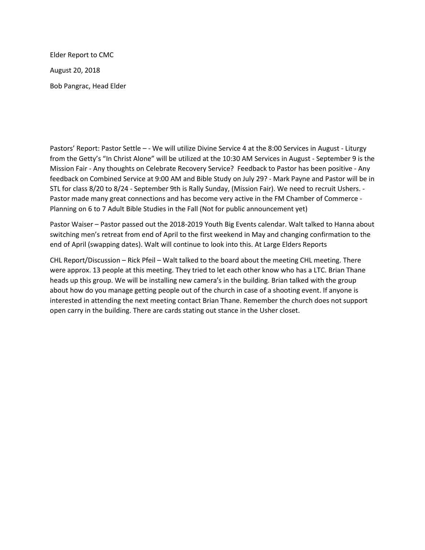Elder Report to CMC August 20, 2018 Bob Pangrac, Head Elder

Pastors' Report: Pastor Settle - - We will utilize Divine Service 4 at the 8:00 Services in August - Liturgy from the Getty's "In Christ Alone" will be utilized at the 10:30 AM Services in August - September 9 is the Mission Fair - Any thoughts on Celebrate Recovery Service? Feedback to Pastor has been positive - Any feedback on Combined Service at 9:00 AM and Bible Study on July 29? - Mark Payne and Pastor will be in STL for class 8/20 to 8/24 - September 9th is Rally Sunday, (Mission Fair). We need to recruit Ushers. - Pastor made many great connections and has become very active in the FM Chamber of Commerce - Planning on 6 to 7 Adult Bible Studies in the Fall (Not for public announcement yet)

Pastor Waiser – Pastor passed out the 2018-2019 Youth Big Events calendar. Walt talked to Hanna about switching men's retreat from end of April to the first weekend in May and changing confirmation to the end of April (swapping dates). Walt will continue to look into this. At Large Elders Reports

CHL Report/Discussion – Rick Pfeil – Walt talked to the board about the meeting CHL meeting. There were approx. 13 people at this meeting. They tried to let each other know who has a LTC. Brian Thane heads up this group. We will be installing new camera's in the building. Brian talked with the group about how do you manage getting people out of the church in case of a shooting event. If anyone is interested in attending the next meeting contact Brian Thane. Remember the church does not support open carry in the building. There are cards stating out stance in the Usher closet.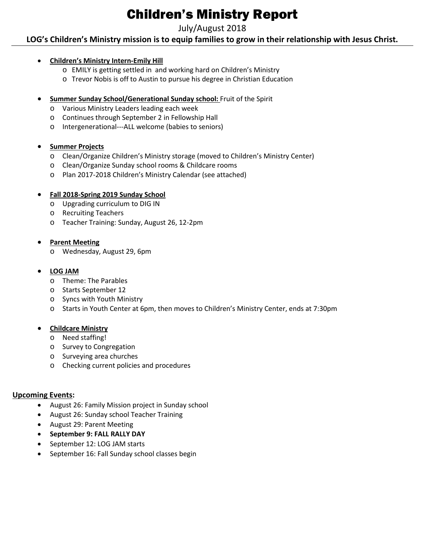# Children's Ministry Report

## July/August 2018

## **LOG's Children's Ministry mission is to equip families to grow in their relationship with Jesus Christ.**

#### • **Children's Ministry Intern-Emily Hill**

- o EMILY is getting settled in and working hard on Children's Ministry
- o Trevor Nobis is off to Austin to pursue his degree in Christian Education
- **Summer Sunday School/Generational Sunday school: Fruit of the Spirit** 
	- o Various Ministry Leaders leading each week
	- o Continues through September 2 in Fellowship Hall
	- o Intergenerational---ALL welcome (babies to seniors)

#### • **Summer Projects**

- o Clean/Organize Children's Ministry storage (moved to Children's Ministry Center)
- o Clean/Organize Sunday school rooms & Childcare rooms
- o Plan 2017-2018 Children's Ministry Calendar (see attached)

#### • **Fall 2018-Spring 2019 Sunday School**

- o Upgrading curriculum to DIG IN
- o Recruiting Teachers
- o Teacher Training: Sunday, August 26, 12-2pm

#### • **Parent Meeting**

o Wednesday, August 29, 6pm

### • **LOG JAM**

- o Theme: The Parables
- o Starts September 12
- o Syncs with Youth Ministry
- o Starts in Youth Center at 6pm, then moves to Children's Ministry Center, ends at 7:30pm

#### • **Childcare Ministry**

- o Need staffing!
- o Survey to Congregation
- o Surveying area churches
- o Checking current policies and procedures

#### **Upcoming Events:**

- August 26: Family Mission project in Sunday school
- August 26: Sunday school Teacher Training
- August 29: Parent Meeting
- **September 9: FALL RALLY DAY**
- September 12: LOG JAM starts
- September 16: Fall Sunday school classes begin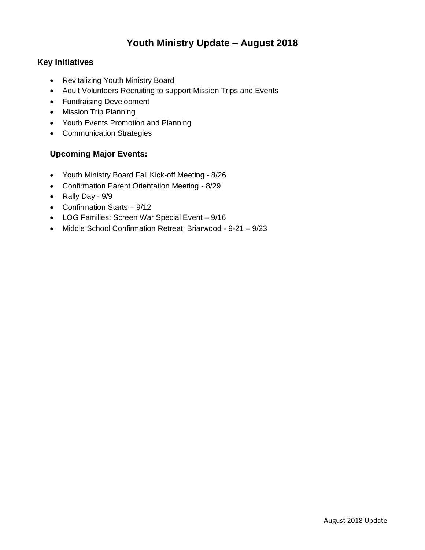## **Youth Ministry Update – August 2018**

## **Key Initiatives**

- Revitalizing Youth Ministry Board
- Adult Volunteers Recruiting to support Mission Trips and Events
- Fundraising Development
- Mission Trip Planning
- Youth Events Promotion and Planning
- Communication Strategies

### **Upcoming Major Events:**

- Youth Ministry Board Fall Kick-off Meeting 8/26
- Confirmation Parent Orientation Meeting 8/29
- Rally Day 9/9
- Confirmation Starts 9/12
- LOG Families: Screen War Special Event 9/16
- Middle School Confirmation Retreat, Briarwood 9-21 9/23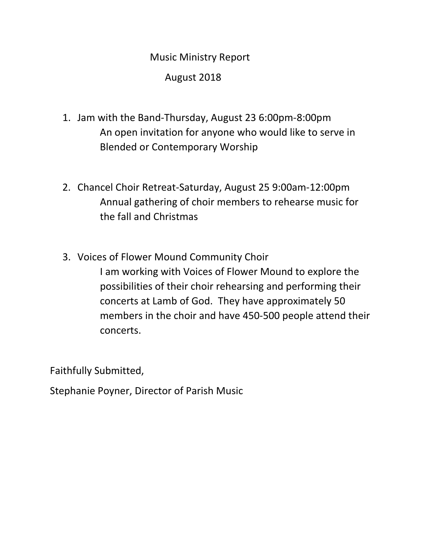# Music Ministry Report

August 2018

- 1. Jam with the Band-Thursday, August 23 6:00pm-8:00pm An open invitation for anyone who would like to serve in Blended or Contemporary Worship
- 2. Chancel Choir Retreat-Saturday, August 25 9:00am-12:00pm Annual gathering of choir members to rehearse music for the fall and Christmas
- 3. Voices of Flower Mound Community Choir I am working with Voices of Flower Mound to explore the possibilities of their choir rehearsing and performing their concerts at Lamb of God. They have approximately 50 members in the choir and have 450-500 people attend their concerts.

Faithfully Submitted,

Stephanie Poyner, Director of Parish Music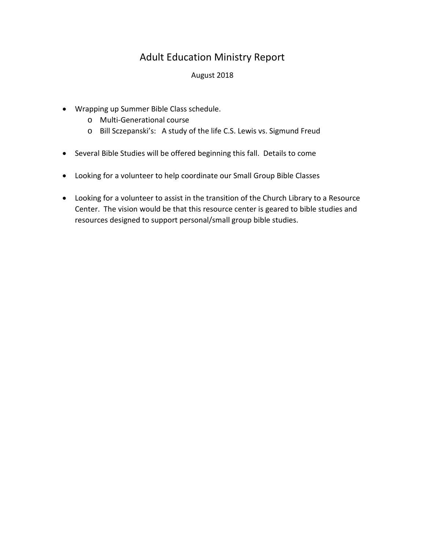## Adult Education Ministry Report

### August 2018

- Wrapping up Summer Bible Class schedule.
	- o Multi-Generational course
	- o Bill Sczepanski's: A study of the life C.S. Lewis vs. Sigmund Freud
- Several Bible Studies will be offered beginning this fall. Details to come
- Looking for a volunteer to help coordinate our Small Group Bible Classes
- Looking for a volunteer to assist in the transition of the Church Library to a Resource Center. The vision would be that this resource center is geared to bible studies and resources designed to support personal/small group bible studies.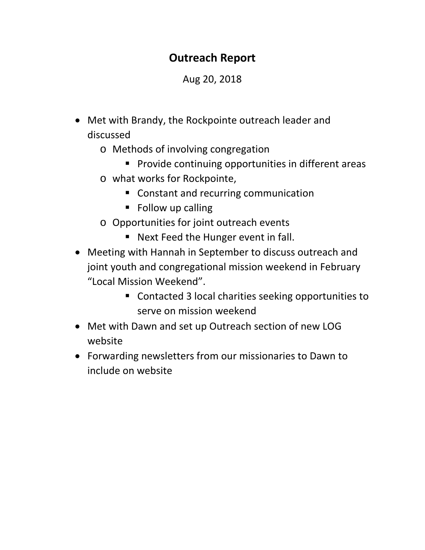# **Outreach Report**

# Aug 20, 2018

- Met with Brandy, the Rockpointe outreach leader and discussed
	- o Methods of involving congregation
		- **Provide continuing opportunities in different areas**
	- o what works for Rockpointe,
		- Constant and recurring communication
		- Follow up calling
	- o Opportunities for joint outreach events
		- Next Feed the Hunger event in fall.
- Meeting with Hannah in September to discuss outreach and joint youth and congregational mission weekend in February "Local Mission Weekend".
	- Contacted 3 local charities seeking opportunities to serve on mission weekend
- Met with Dawn and set up Outreach section of new LOG website
- Forwarding newsletters from our missionaries to Dawn to include on website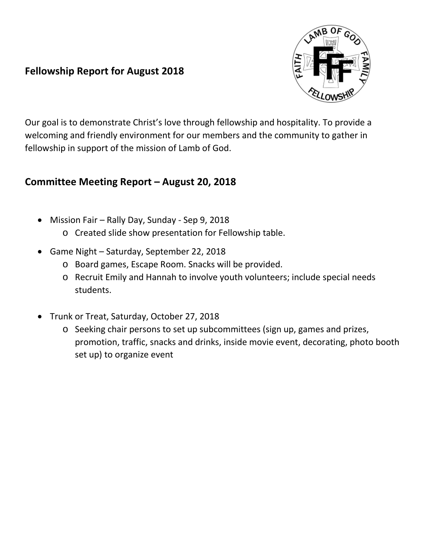## **Fellowship Report for August 2018**



Our goal is to demonstrate Christ's love through fellowship and hospitality. To provide a welcoming and friendly environment for our members and the community to gather in fellowship in support of the mission of Lamb of God.

## **Committee Meeting Report – August 20, 2018**

- Mission Fair Rally Day, Sunday Sep 9, 2018
	- o Created slide show presentation for Fellowship table.
- Game Night Saturday, September 22, 2018
	- o Board games, Escape Room. Snacks will be provided.
	- o Recruit Emily and Hannah to involve youth volunteers; include special needs students.
- Trunk or Treat, Saturday, October 27, 2018
	- o Seeking chair persons to set up subcommittees (sign up, games and prizes, promotion, traffic, snacks and drinks, inside movie event, decorating, photo booth set up) to organize event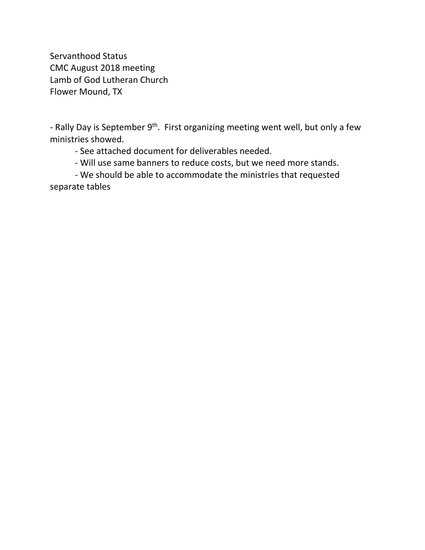Servanthood Status CMC August 2018 meeting Lamb of God Lutheran Church Flower Mound, TX

- Rally Day is September 9<sup>th</sup>. First organizing meeting went well, but only a few ministries showed.

- See attached document for deliverables needed.

- Will use same banners to reduce costs, but we need more stands.

- We should be able to accommodate the ministries that requested separate tables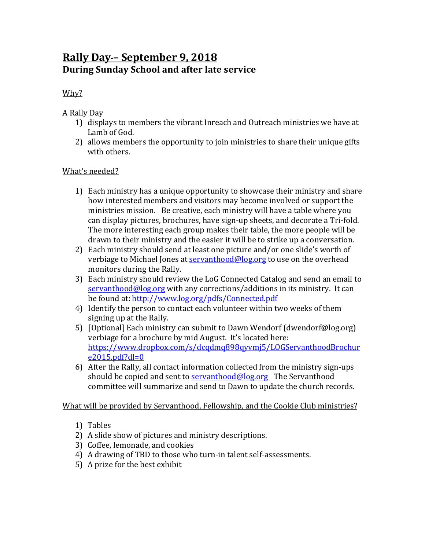# **Rally Day – September 9, 2018 During Sunday School and after late service**

## Why?

A Rally Day

- 1) displays to members the vibrant Inreach and Outreach ministries we have at Lamb of God.
- 2) allows members the opportunity to join ministries to share their unique gifts with others.

## What's needed?

- 1) Each ministry has a unique opportunity to showcase their ministry and share how interested members and visitors may become involved or support the ministries mission. Be creative, each ministry will have a table where you can display pictures, brochures, have sign-up sheets, and decorate a Tri-fold. The more interesting each group makes their table, the more people will be drawn to their ministry and the easier it will be to strike up a conversation.
- 2) Each ministry should send at least one picture and/or one slide's worth of verbiage to Michael Jones at  $servanthood@log.org$  to use on the overhead monitors during the Rally.
- 3) Each ministry should review the LoG Connected Catalog and send an email to  $s$ ervanthood@log.org with any corrections/additions in its ministry. It can be found at: http://www.log.org/pdfs/Connected.pdf
- 4) Identify the person to contact each volunteer within two weeks of them signing up at the Rally.
- 5) [Optional] Each ministry can submit to Dawn Wendorf (dwendorf@log.org) verbiage for a brochure by mid August. It's located here: https://www.dropbox.com/s/dcqdmq898qyvmj5/LOGServanthoodBrochur e2015.pdf?dl=0
- 6) After the Rally, all contact information collected from the ministry sign-ups should be copied and sent to  $\frac{\text{servanhood@log.org}}{\text{C}}$  The Servanthood committee will summarize and send to Dawn to update the church records.

What will be provided by Servanthood, Fellowship, and the Cookie Club ministries?

- 1) Tables
- 2) A slide show of pictures and ministry descriptions.
- 3) Coffee, lemonade, and cookies
- 4) A drawing of TBD to those who turn-in talent self-assessments.
- 5) A prize for the best exhibit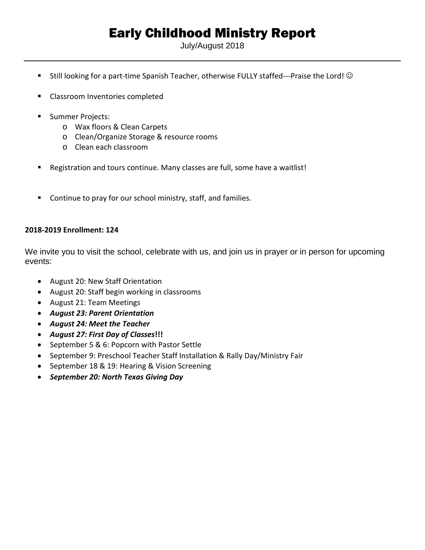# Early Childhood Ministry Report

July/August 2018

- **Still looking for a part-time Spanish Teacher, otherwise FULLY staffed---Praise the Lord!**  $\odot$
- **EXEC** Classroom Inventories completed
- **Summer Projects:** 
	- o Wax floors & Clean Carpets
	- o Clean/Organize Storage & resource rooms
	- o Clean each classroom
- Registration and tours continue. Many classes are full, some have a waitlist!
- **Continue to pray for our school ministry, staff, and families.**

#### **2018-2019 Enrollment: 124**

We invite you to visit the school, celebrate with us, and join us in prayer or in person for upcoming events:

- August 20: New Staff Orientation
- August 20: Staff begin working in classrooms
- August 21: Team Meetings
- *August 23: Parent Orientation*
- *August 24: Meet the Teacher*
- *August 27: First Day of Classes***!!!**
- September 5 & 6: Popcorn with Pastor Settle
- September 9: Preschool Teacher Staff Installation & Rally Day/Ministry Fair
- September 18 & 19: Hearing & Vision Screening
- *September 20: North Texas Giving Day*